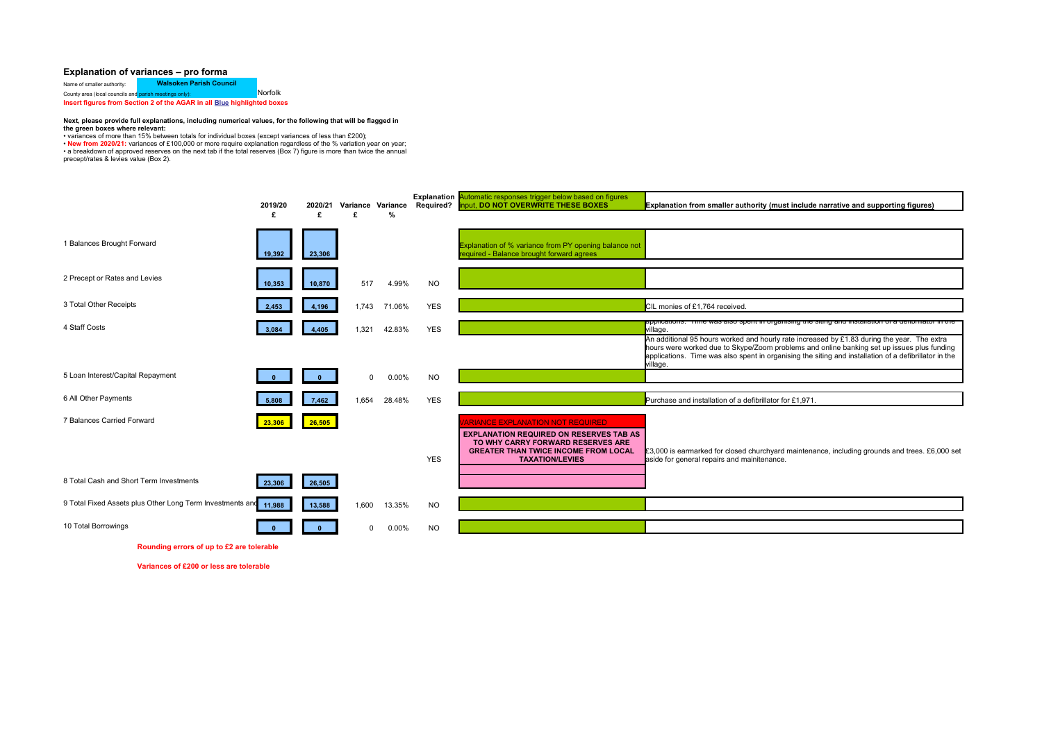## **Explanation of variances – pro forma**

Name of smaller authority: **Walsoken Parish Council** Norfolk County area (local councils and parish meetings only): **Insert figures from Section 2 of the AGAR in all Blue highlighted boxes** 

## **Next, please provide full explanations, including numerical values, for the following that will be flagged in the green boxes where relevant:**

• variances of more than 15% between totals for individual boxes (except variances of less than £200);<br>• **New from 2020/21**: variances of £100,000 or more require explanation regardless of the % variation year on year;<br>• a precept/rates & levies value (Box 2).

|                                                           | 2019/20 | 2020/21 | Variance Variance |          | Required?  | <b>Explanation Automatic responses trigger below based on figures</b><br>input, DO NOT OVERWRITE THESE BOXES                                                                                            | Explanation from smaller authority (must include narrative and supporting figures)                                                                                                                                                                                                                                                                                                          |
|-----------------------------------------------------------|---------|---------|-------------------|----------|------------|---------------------------------------------------------------------------------------------------------------------------------------------------------------------------------------------------------|---------------------------------------------------------------------------------------------------------------------------------------------------------------------------------------------------------------------------------------------------------------------------------------------------------------------------------------------------------------------------------------------|
|                                                           | £       | £       | £                 | %        |            |                                                                                                                                                                                                         |                                                                                                                                                                                                                                                                                                                                                                                             |
| 1 Balances Brought Forward                                | 19,392  | 23,306  |                   |          |            | Explanation of % variance from PY opening balance not<br>required - Balance brought forward agrees                                                                                                      |                                                                                                                                                                                                                                                                                                                                                                                             |
| 2 Precept or Rates and Levies                             | 10,353  | 10,870  | 517               | 4.99%    | NO.        |                                                                                                                                                                                                         |                                                                                                                                                                                                                                                                                                                                                                                             |
| 3 Total Other Receipts                                    | 2.453   | 4,196   | 1.743             | 71.06%   | <b>YES</b> |                                                                                                                                                                                                         | CIL monies of £1,764 received.                                                                                                                                                                                                                                                                                                                                                              |
| 4 Staff Costs                                             | 3.084   | 4,405   | 1,321             | 42.83%   | <b>YES</b> |                                                                                                                                                                                                         | appiicauons. Time was also spent in organismy the siting and installation<br>village.<br>An additional 95 hours worked and hourly rate increased by £1.83 during the year. The extra<br>hours were worked due to Skype/Zoom problems and online banking set up issues plus funding<br>applications. Time was also spent in organising the siting and installation of a defibrillator in the |
| 5 Loan Interest/Capital Repayment                         |         |         |                   |          |            |                                                                                                                                                                                                         | village.                                                                                                                                                                                                                                                                                                                                                                                    |
|                                                           |         |         | $\Omega$          | 0.00%    | <b>NO</b>  |                                                                                                                                                                                                         |                                                                                                                                                                                                                                                                                                                                                                                             |
| 6 All Other Payments                                      | 5.808   | 7,462   | 1.654             | 28.48%   | <b>YES</b> |                                                                                                                                                                                                         | Purchase and installation of a defibrillator for £1,971.                                                                                                                                                                                                                                                                                                                                    |
| 7 Balances Carried Forward                                | 23.306  | 26,505  |                   |          | <b>YES</b> | <b>ARIANCE EXPLANATION NOT REQUIRED</b><br><b>EXPLANATION REQUIRED ON RESERVES TAB AS</b><br>TO WHY CARRY FORWARD RESERVES ARE<br><b>GREATER THAN TWICE INCOME FROM LOCAL</b><br><b>TAXATION/LEVIES</b> | £3,000 is earmarked for closed churchyard maintenance, including grounds and trees. £6,000 set<br>aside for general repairs and mainitenance.                                                                                                                                                                                                                                               |
| 8 Total Cash and Short Term Investments                   | 23,306  | 26,505  |                   |          |            |                                                                                                                                                                                                         |                                                                                                                                                                                                                                                                                                                                                                                             |
| 9 Total Fixed Assets plus Other Long Term Investments and | 11,988  | 13,588  | 1.600             | 13.35%   | <b>NO</b>  |                                                                                                                                                                                                         |                                                                                                                                                                                                                                                                                                                                                                                             |
| 10 Total Borrowings                                       |         |         | $\Omega$          | $0.00\%$ | NO.        |                                                                                                                                                                                                         |                                                                                                                                                                                                                                                                                                                                                                                             |

**Rounding errors of up to £2 are tolerable**

**Variances of £200 or less are tolerable**